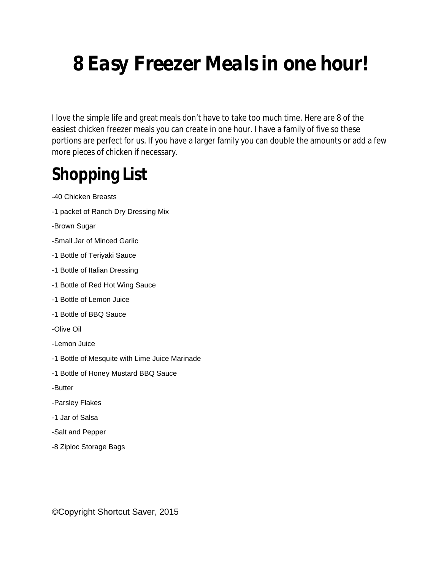# **8 Easy Freezer Meals in one hour!**

I love the simple life and great meals don't have to take too much time. Here are 8 of the easiest chicken freezer meals you can create in one hour. I have a family of five so these portions are perfect for us. If you have a larger family you can double the amounts or add a few more pieces of chicken if necessary.

## **Shopping List**

-40 Chicken Breasts

- -1 packet of Ranch Dry Dressing Mix
- -Brown Sugar
- -Small Jar of Minced Garlic
- -1 Bottle of Teriyaki Sauce
- -1 Bottle of Italian Dressing
- -1 Bottle of Red Hot Wing Sauce
- -1 Bottle of Lemon Juice
- -1 Bottle of BBQ Sauce
- -Olive Oil
- -Lemon Juice
- -1 Bottle of Mesquite with Lime Juice Marinade
- -1 Bottle of Honey Mustard BBQ Sauce
- -Butter
- -Parsley Flakes
- -1 Jar of Salsa
- -Salt and Pepper
- -8 Ziploc Storage Bags

©Copyright Shortcut Saver, 2015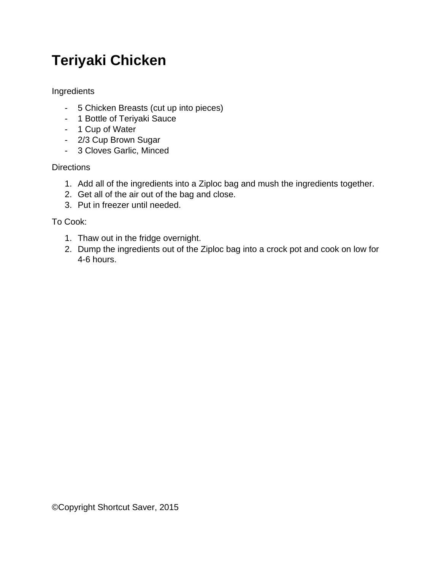### **Teriyaki Chicken**

Ingredients

- 5 Chicken Breasts (cut up into pieces)
- 1 Bottle of Teriyaki Sauce
- 1 Cup of Water
- 2/3 Cup Brown Sugar
- 3 Cloves Garlic, Minced

#### **Directions**

- 1. Add all of the ingredients into a Ziploc bag and mush the ingredients together.
- 2. Get all of the air out of the bag and close.
- 3. Put in freezer until needed.

- 1. Thaw out in the fridge overnight.
- 2. Dump the ingredients out of the Ziploc bag into a crock pot and cook on low for 4-6 hours.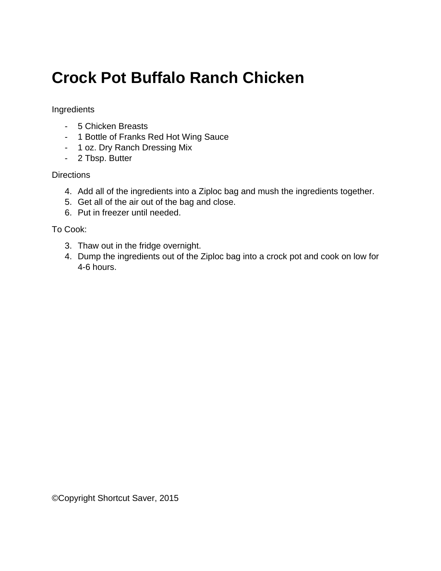### **Crock Pot Buffalo Ranch Chicken**

#### Ingredients

- 5 Chicken Breasts
- 1 Bottle of Franks Red Hot Wing Sauce
- 1 oz. Dry Ranch Dressing Mix
- 2 Tbsp. Butter

#### **Directions**

- 4. Add all of the ingredients into a Ziploc bag and mush the ingredients together.
- 5. Get all of the air out of the bag and close.
- 6. Put in freezer until needed.

- 3. Thaw out in the fridge overnight.
- 4. Dump the ingredients out of the Ziploc bag into a crock pot and cook on low for 4-6 hours.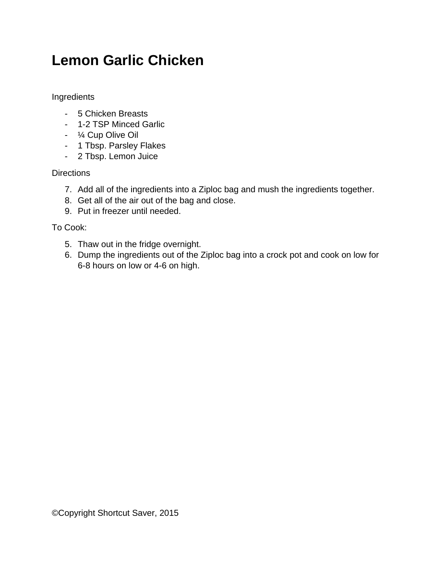### **Lemon Garlic Chicken**

Ingredients

- 5 Chicken Breasts
- 1-2 TSP Minced Garlic
- ¼ Cup Olive Oil
- 1 Tbsp. Parsley Flakes
- 2 Tbsp. Lemon Juice

**Directions** 

- 7. Add all of the ingredients into a Ziploc bag and mush the ingredients together.
- 8. Get all of the air out of the bag and close.
- 9. Put in freezer until needed.

- 5. Thaw out in the fridge overnight.
- 6. Dump the ingredients out of the Ziploc bag into a crock pot and cook on low for 6-8 hours on low or 4-6 on high.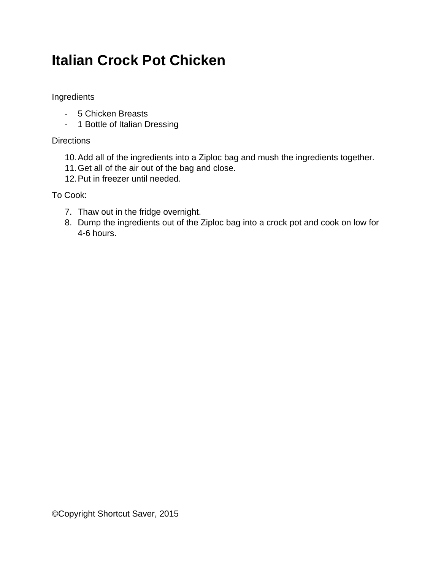### **Italian Crock Pot Chicken**

Ingredients

- 5 Chicken Breasts
- 1 Bottle of Italian Dressing

**Directions** 

- 10.Add all of the ingredients into a Ziploc bag and mush the ingredients together.
- 11.Get all of the air out of the bag and close.
- 12.Put in freezer until needed.

- 7. Thaw out in the fridge overnight.
- 8. Dump the ingredients out of the Ziploc bag into a crock pot and cook on low for 4-6 hours.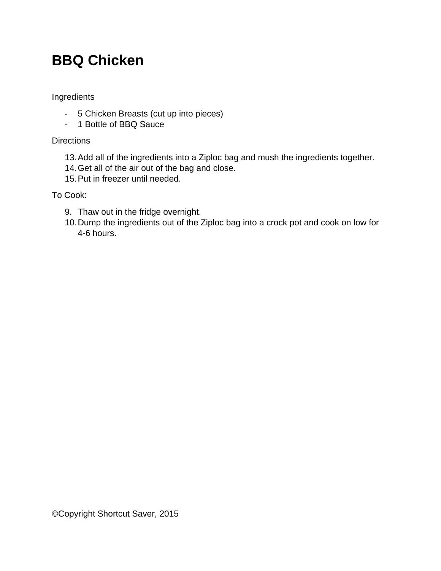### **BBQ Chicken**

Ingredients

- 5 Chicken Breasts (cut up into pieces)
- 1 Bottle of BBQ Sauce

**Directions** 

- 13.Add all of the ingredients into a Ziploc bag and mush the ingredients together.
- 14.Get all of the air out of the bag and close.
- 15.Put in freezer until needed.

- 9. Thaw out in the fridge overnight.
- 10.Dump the ingredients out of the Ziploc bag into a crock pot and cook on low for 4-6 hours.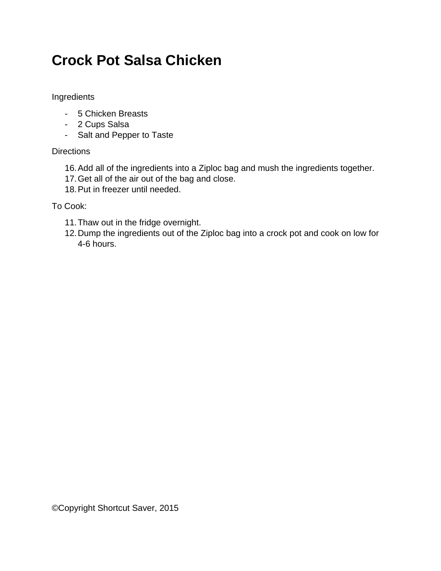### **Crock Pot Salsa Chicken**

Ingredients

- 5 Chicken Breasts
- 2 Cups Salsa
- Salt and Pepper to Taste

#### **Directions**

- 16.Add all of the ingredients into a Ziploc bag and mush the ingredients together.
- 17.Get all of the air out of the bag and close.
- 18.Put in freezer until needed.

- 11.Thaw out in the fridge overnight.
- 12.Dump the ingredients out of the Ziploc bag into a crock pot and cook on low for 4-6 hours.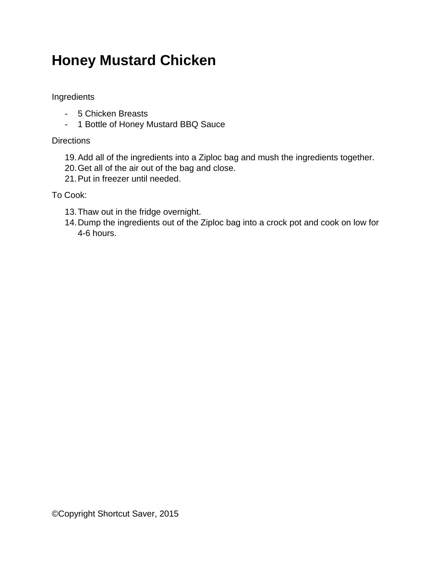### **Honey Mustard Chicken**

Ingredients

- 5 Chicken Breasts
- 1 Bottle of Honey Mustard BBQ Sauce

**Directions** 

- 19.Add all of the ingredients into a Ziploc bag and mush the ingredients together.
- 20.Get all of the air out of the bag and close.
- 21.Put in freezer until needed.

- 13.Thaw out in the fridge overnight.
- 14.Dump the ingredients out of the Ziploc bag into a crock pot and cook on low for 4-6 hours.